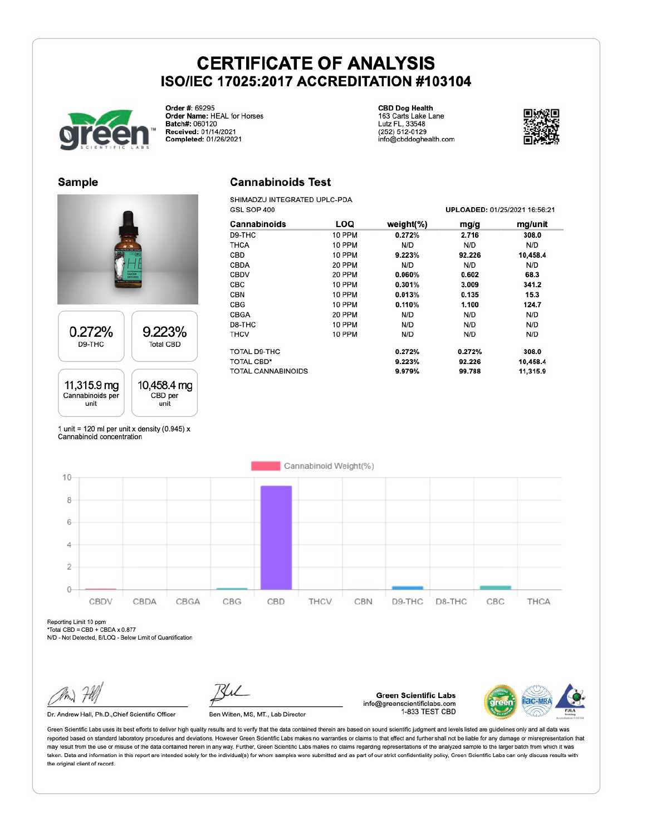

Order #: 69295 Order Mame: HEAL for Horses<br>Batch#: 060120 Received: 01/14/2021 Completed: 01/26/2021

**CBD Dog Health** 163 Carts Lake Lane<br>Lutz FL, 33548<br>(252) 512-0129 info@cbddoghealth.com



UDLOADED, 04/05/0004 46-56-04

#### **Sample**

# 0.272% 9.223% D9-THC **Total CBD**



1 unit = 120 ml per unit x density (0.945)  $x$ Cannabinoid concentration

### **Cannabinoids Test**

SHIMADZU INTEGRATED UPLC-PDA COL COD 400

| USL SUF 400 |               |        | UPLOADED: 01/23/2021 10.30.21 |
|-------------|---------------|--------|-------------------------------|
| LOQ         | weight $(\%)$ | mg/g   | mg/unit                       |
| 10 PPM      | 0.272%        | 2.716  | 308.0                         |
| 10 PPM      | N/D           | N/D    | N/D                           |
| 10 PPM      | 9.223%        | 92.226 | 10,458.4                      |
| 20 PPM      | N/D           | N/D    | N/D                           |
| 20 PPM      | 0.060%        | 0.602  | 68.3                          |
| 10 PPM      | 0.301%        | 3.009  | 341.2                         |
| 10 PPM      | 0.013%        | 0.135  | 15.3                          |
| 10 PPM      | 0.110%        | 1.100  | 124.7                         |
| 20 PPM      | N/D           | N/D    | N/D                           |
| 10 PPM      | N/D           | N/D    | N/D                           |
| 10 PPM      | N/D           | N/D    | N/D                           |
|             | 0.272%        | 0.272% | 308.0                         |
|             | 9.223%        | 92.226 | 10.458.4                      |
|             | 9.979%        | 99.788 | 11,315.9                      |
|             |               |        |                               |



Reporting Limit 10 ppm

\*Total CBD = CBD + CBDA x 0.877

N/D - Not Detected, B/LOQ - Below Limit of Quantification

Dr. Andrew Hall, Ph.D., Chief Scientific Officer

Ben Witten, MS, MT., Lab Director

**Green Scientific Labs** info@greenscientificlabs.com 1-833 TEST CBD



Green Scientific Labs uses its best efforts to deliver high quality results and to verify that the data contained therein are based on sound scientific judgment and levels listed are guidelines only and all data was reported based on standard laboratory procedures and deviations. However Green Scientific Labs makes no warranties or claims to that effect and further shall not be liable for any damage or misrepresentation that may result from the use or misuse of the data contained herein in any way. Further, Green Scientific Labs makes no claims regarding representations of the analyzed sample to the larger batch from which it was taken. Data and information in this report are intended solely for the individual(s) for whom samples were submitted and as part of our strict confidentiality policy. Green Scientific Labs can only discuss results with the original client of record.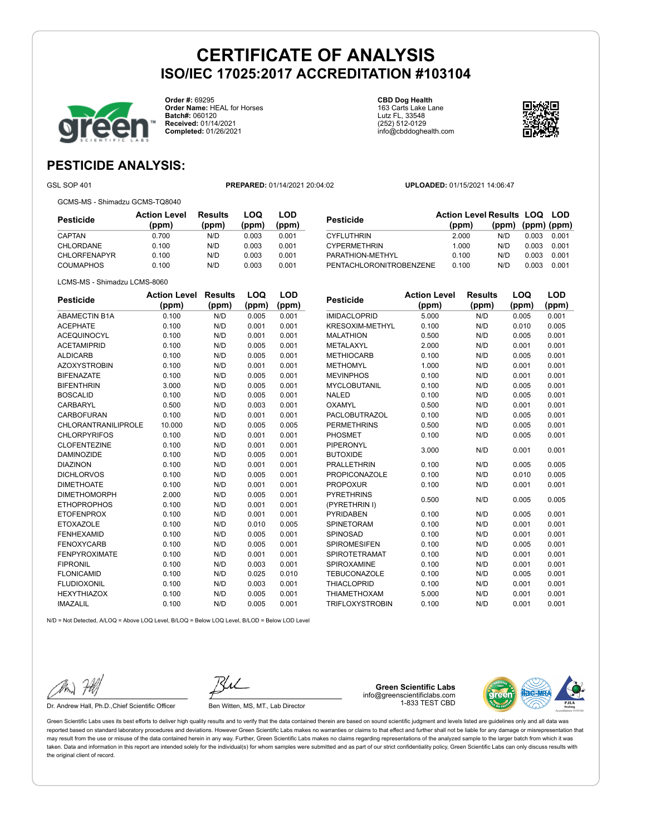

**Order #:** 69295 **Order Name:** HEAL for Horses **Batch#:** 060120 **Received:** 01/14/2021 **Completed:** 01/26/2021

**CBD Dog Health** 163 Carts Lake Lane Lutz FL, 33548 (252) 512-0129 info@cbddoghealth.com



## **PESTICIDE ANALYSIS:**

GSL SOP 401 **PREPARED:** 01/14/2021 20:04:02 **UPLOADED:** 01/15/2021 14:06:47

|  | GCMS-MS - Shimadzu GCMS-TQ8040 |
|--|--------------------------------|
|  |                                |

LCMS-MS - Shimadzu LCMS-8060

| <b>Pesticide</b>    | <b>Action Level</b><br>(ppm) | <b>Results</b><br>(ppm) | LOQ<br>(ppm) | LOD<br>(ppm) |
|---------------------|------------------------------|-------------------------|--------------|--------------|
| CAPTAN              | 0.700                        | N/D                     | 0.003        | 0.001        |
| CHLORDANE           | 0.100                        | N/D                     | 0.003        | 0.001        |
| <b>CHLORFENAPYR</b> | 0.100                        | N/D                     | 0.003        | 0.001        |
| <b>COUMAPHOS</b>    | 0.100                        | N/D                     | 0.003        | 0.001        |

| (ppm)                            |     |       |                                                                |
|----------------------------------|-----|-------|----------------------------------------------------------------|
| 2.000                            | N/D | 0.003 | 0.001                                                          |
| 1.000                            | N/D | 0.003 | 0.001                                                          |
| 0.100                            | N/D | 0.003 | 0.001                                                          |
| PENTACHLORONITROBENZENE<br>0.100 | N/D | 0.003 | 0.001                                                          |
|                                  |     |       | <b>Action Level Results LOQ LOD</b><br>$(ppm)$ $(ppm)$ $(ppm)$ |

| <b>Pesticide</b>           | <b>Action Level</b><br>(ppm) | <b>Results</b><br>(ppm) | LOQ<br>(ppm) | <b>LOD</b><br>(ppm) | <b>Pesticide</b>       |
|----------------------------|------------------------------|-------------------------|--------------|---------------------|------------------------|
| <b>ABAMECTIN B1A</b>       | 0.100                        | N/D                     | 0.005        | 0.001               | <b>IMIDACLOPRID</b>    |
| <b>ACEPHATE</b>            | 0.100                        | N/D                     | 0.001        | 0.001               | <b>KRESOXIM-METHY</b>  |
| <b>ACEQUINOCYL</b>         | 0.100                        | N/D                     | 0.001        | 0.001               | <b>MALATHION</b>       |
| <b>ACETAMIPRID</b>         | 0.100                        | N/D                     | 0.005        | 0.001               | <b>METALAXYL</b>       |
| <b>ALDICARB</b>            | 0.100                        | N/D                     | 0.005        | 0.001               | <b>METHIOCARB</b>      |
| <b>AZOXYSTROBIN</b>        | 0.100                        | N/D                     | 0.001        | 0.001               | <b>METHOMYL</b>        |
| <b>BIFENAZATE</b>          | 0.100                        | N/D                     | 0.005        | 0.001               | <b>MEVINPHOS</b>       |
| <b>BIFENTHRIN</b>          | 3.000                        | N/D                     | 0.005        | 0.001               | <b>MYCLOBUTANIL</b>    |
| <b>BOSCALID</b>            | 0.100                        | N/D                     | 0.005        | 0.001               | <b>NALED</b>           |
| <b>CARBARYL</b>            | 0.500                        | N/D                     | 0.003        | 0.001               | <b>OXAMYL</b>          |
| <b>CARBOFURAN</b>          | 0.100                        | N/D                     | 0.001        | 0.001               | <b>PACLOBUTRAZOL</b>   |
| <b>CHLORANTRANILIPROLE</b> | 10.000                       | N/D                     | 0.005        | 0.005               | <b>PERMETHRINS</b>     |
| <b>CHLORPYRIFOS</b>        | 0.100                        | N/D                     | 0.001        | 0.001               | <b>PHOSMET</b>         |
| <b>CLOFENTEZINE</b>        | 0.100                        | N/D                     | 0.001        | 0.001               | <b>PIPERONYL</b>       |
| <b>DAMINOZIDE</b>          | 0.100                        | N/D                     | 0.005        | 0.001               | <b>BUTOXIDE</b>        |
| <b>DIAZINON</b>            | 0.100                        | N/D                     | 0.001        | 0.001               | <b>PRALLETHRIN</b>     |
| <b>DICHLORVOS</b>          | 0.100                        | N/D                     | 0.005        | 0.001               | <b>PROPICONAZOLE</b>   |
| <b>DIMETHOATE</b>          | 0.100                        | N/D                     | 0.001        | 0.001               | <b>PROPOXUR</b>        |
| <b>DIMETHOMORPH</b>        | 2.000                        | N/D                     | 0.005        | 0.001               | <b>PYRETHRINS</b>      |
| <b>ETHOPROPHOS</b>         | 0.100                        | N/D                     | 0.001        | 0.001               | (PYRETHRIN I)          |
| <b>ETOFENPROX</b>          | 0.100                        | N/D                     | 0.001        | 0.001               | <b>PYRIDABEN</b>       |
| <b>ETOXAZOLE</b>           | 0.100                        | N/D                     | 0.010        | 0.005               | <b>SPINETORAM</b>      |
| <b>FENHEXAMID</b>          | 0.100                        | N/D                     | 0.005        | 0.001               | SPINOSAD               |
| <b>FENOXYCARB</b>          | 0.100                        | N/D                     | 0.005        | 0.001               | <b>SPIROMESIFEN</b>    |
| <b>FENPYROXIMATE</b>       | 0.100                        | N/D                     | 0.001        | 0.001               | <b>SPIROTETRAMAT</b>   |
| <b>FIPRONIL</b>            | 0.100                        | N/D                     | 0.003        | 0.001               | SPIROXAMINE            |
| <b>FLONICAMID</b>          | 0.100                        | N/D                     | 0.025        | 0.010               | <b>TEBUCONAZOLE</b>    |
| <b>FLUDIOXONIL</b>         | 0.100                        | N/D                     | 0.003        | 0.001               | <b>THIACLOPRID</b>     |
| <b>HEXYTHIAZOX</b>         | 0.100                        | N/D                     | 0.005        | 0.001               | <b>THIAMETHOXAM</b>    |
| <b>IMAZALIL</b>            | 0.100                        | N/D                     | 0.005        | 0.001               | <b>TRIFLOXYSTROBIN</b> |

| Pesticide              | <b>Action Level</b> | Results | LOQ   | LOD   |
|------------------------|---------------------|---------|-------|-------|
|                        | (ppm)               | (ppm)   | (ppm) | (ppm) |
| <b>IMIDACLOPRID</b>    | 5.000               | N/D     | 0.005 | 0.001 |
| <b>KRESOXIM-METHYL</b> | 0.100               | N/D     | 0.010 | 0.005 |
| <b>MALATHION</b>       | 0.500               | N/D     | 0.005 | 0.001 |
| METALAXYL              | 2.000               | N/D     | 0.001 | 0.001 |
| <b>METHIOCARB</b>      | 0.100               | N/D     | 0.005 | 0.001 |
| <b>METHOMYL</b>        | 1.000               | N/D     | 0.001 | 0.001 |
| <b>MEVINPHOS</b>       | 0.100               | N/D     | 0.001 | 0.001 |
| <b>MYCLOBUTANIL</b>    | 0.100               | N/D     | 0.005 | 0.001 |
| <b>NALED</b>           | 0.100               | N/D     | 0.005 | 0.001 |
| <b>OXAMYL</b>          | 0.500               | N/D     | 0.001 | 0.001 |
| <b>PACLOBUTRAZOL</b>   | 0.100               | N/D     | 0.005 | 0.001 |
| <b>PERMETHRINS</b>     | 0.500               | N/D     | 0.005 | 0.001 |
| PHOSMET                | 0.100               | N/D     | 0.005 | 0.001 |
| PIPERONYL              | 3.000               | N/D     | 0.001 | 0.001 |
| <b>BUTOXIDE</b>        |                     |         |       |       |
| <b>PRALLETHRIN</b>     | 0.100               | N/D     | 0.005 | 0.005 |
| <b>PROPICONAZOLE</b>   | 0.100               | N/D     | 0.010 | 0.005 |
| <b>PROPOXUR</b>        | 0.100               | N/D     | 0.001 | 0.001 |
| <b>PYRETHRINS</b>      | 0.500               | N/D     | 0.005 | 0.005 |
| (PYRETHRIN I)          |                     |         |       |       |
| <b>PYRIDABEN</b>       | 0.100               | N/D     | 0.005 | 0.001 |
| SPINETORAM             | 0.100               | N/D     | 0.001 | 0.001 |
| <b>SPINOSAD</b>        | 0.100               | N/D     | 0.001 | 0.001 |
| <b>SPIROMESIFEN</b>    | 0.100               | N/D     | 0.005 | 0.001 |
| <b>SPIROTETRAMAT</b>   | 0.100               | N/D     | 0.001 | 0.001 |
| SPIROXAMINE            | 0.100               | N/D     | 0.001 | 0.001 |
| <b>TEBUCONAZOLE</b>    | 0.100               | N/D     | 0.005 | 0.001 |
| <b>THIACLOPRID</b>     | 0.100               | N/D     | 0.001 | 0.001 |
| <b>THIAMETHOXAM</b>    | 5.000               | N/D     | 0.001 | 0.001 |
| <b>TRIFLOXYSTROBIN</b> | 0.100               | N/D     | 0.001 | 0.001 |

N/D = Not Detected, A/LOQ = Above LOQ Level, B/LOQ = Below LOQ Level, B/LOD = Below LOD Level

Dr. Andrew Hall, Ph.D., Chief Scientific Officer Ben Witten, MS, MT., Lab Director

**Green Scientific Labs** info@greenscientificlabs.com 1-833 TEST CBD



Green Scientific Labs uses its best efforts to deliver high quality results and to verify that the data contained therein are based on sound scientific judgment and levels listed are guidelines only and all data was reported based on standard laboratory procedures and deviations. However Green Scientific Labs makes no warranties or claims to that effect and further shall not be liable for any damage or misrepresentation that may result from the use or misuse of the data contained herein in any way. Further, Green Scientific Labs makes no claims regarding representations of the analyzed sample to the larger batch from which it was taken. Data and information in this report are intended solely for the individual(s) for whom samples were submitted and as part of our strict confidentiality policy, Green Scientific Labs can only discuss results with the original client of record.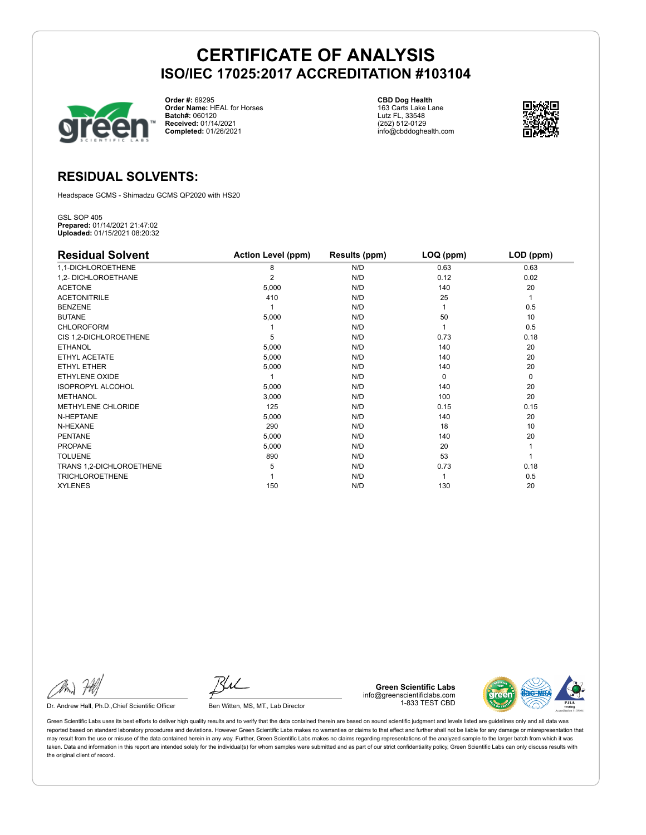

**Order #:** 69295 **Order Name:** HEAL for Horses **Batch#:** 060120 **Received:** 01/14/2021 **Completed:** 01/26/2021

**CBD Dog Health** 163 Carts Lake Lane Lutz FL, 33548 (252) 512-0129 info@cbddoghealth.com



## **RESIDUAL SOLVENTS:**

Headspace GCMS - Shimadzu GCMS QP2020 with HS20

GSL SOP 405 **Prepared:** 01/14/2021 21:47:02 **Uploaded:** 01/15/2021 08:20:32

| <b>Residual Solvent</b>  | <b>Action Level (ppm)</b> | Results (ppm) | LOQ (ppm) | LOD (ppm) |
|--------------------------|---------------------------|---------------|-----------|-----------|
| 1,1-DICHLOROETHENE       | 8                         | N/D           | 0.63      | 0.63      |
| 1,2- DICHLOROETHANE      | $\overline{2}$            | N/D           | 0.12      | 0.02      |
| <b>ACETONE</b>           | 5,000                     | N/D           | 140       | 20        |
| <b>ACETONITRILE</b>      | 410                       | N/D           | 25        | 1         |
| <b>BENZENE</b>           |                           | N/D           |           | 0.5       |
| <b>BUTANE</b>            | 5,000                     | N/D           | 50        | 10        |
| <b>CHLOROFORM</b>        |                           | N/D           |           | 0.5       |
| CIS 1,2-DICHLOROETHENE   | 5                         | N/D           | 0.73      | 0.18      |
| <b>ETHANOL</b>           | 5,000                     | N/D           | 140       | 20        |
| ETHYL ACETATE            | 5,000                     | N/D           | 140       | 20        |
| <b>ETHYL ETHER</b>       | 5,000                     | N/D           | 140       | 20        |
| <b>ETHYLENE OXIDE</b>    |                           | N/D           | $\Omega$  | 0         |
| <b>ISOPROPYL ALCOHOL</b> | 5,000                     | N/D           | 140       | 20        |
| <b>METHANOL</b>          | 3,000                     | N/D           | 100       | 20        |
| METHYLENE CHLORIDE       | 125                       | N/D           | 0.15      | 0.15      |
| N-HEPTANE                | 5,000                     | N/D           | 140       | 20        |
| N-HEXANE                 | 290                       | N/D           | 18        | 10        |
| <b>PENTANE</b>           | 5,000                     | N/D           | 140       | 20        |
| <b>PROPANE</b>           | 5,000                     | N/D           | 20        |           |
| <b>TOLUENE</b>           | 890                       | N/D           | 53        |           |
| TRANS 1,2-DICHLOROETHENE | 5                         | N/D           | 0.73      | 0.18      |
| <b>TRICHLOROETHENE</b>   |                           | N/D           |           | 0.5       |
| <b>XYLENES</b>           | 150                       | N/D           | 130       | 20        |

Dr. Andrew Hall, Ph.D., Chief Scientific Officer Ben Witten, MS, MT., Lab Director

**Green Scientific Labs** info@greenscientificlabs.com 1-833 TEST CBD



Green Scientific Labs uses its best efforts to deliver high quality results and to verify that the data contained therein are based on sound scientific judgment and levels listed are guidelines only and all data was reported based on standard laboratory procedures and deviations. However Green Scientific Labs makes no warranties or claims to that effect and further shall not be liable for any damage or misrepresentation that may result from the use or misuse of the data contained herein in any way. Further, Green Scientific Labs makes no claims regarding representations of the analyzed sample to the larger batch from which it was taken. Data and information in this report are intended solely for the individual(s) for whom samples were submitted and as part of our strict confidentiality policy, Green Scientific Labs can only discuss results with the original client of record.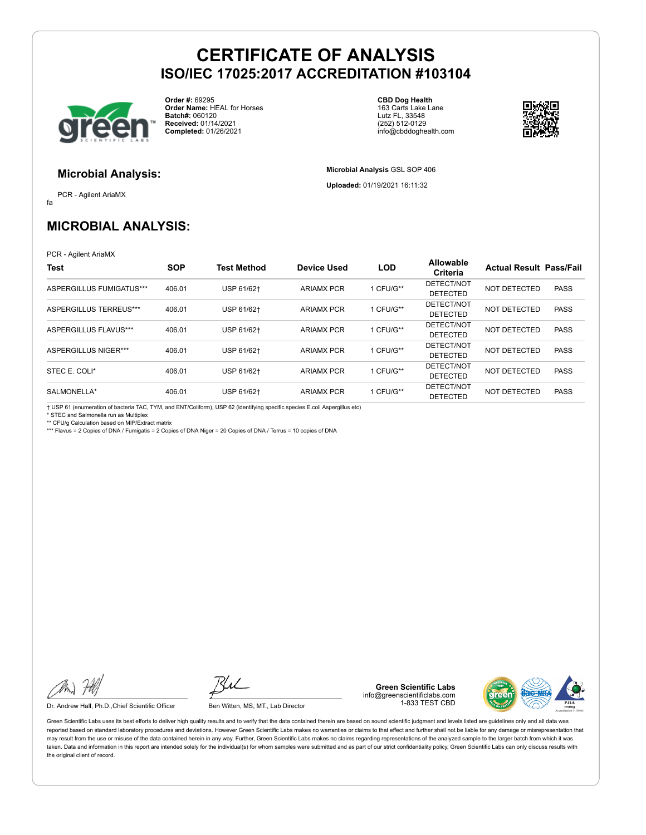

**Order #:** 69295 **Order Name:** HEAL for Horses **Batch#:** 060120 **Received:** 01/14/2021 **Completed:** 01/26/2021

**CBD Dog Health** 163 Carts Lake Lane Lutz FL, 33548 (252) 512-0129 info@cbddoghealth.com

**Microbial Analysis** GSL SOP 406 **Uploaded:** 01/19/2021 16:11:32



#### **Microbial Analysis:**

fa PCR - Agilent AriaMX

## **MICROBIAL ANALYSIS:**

PCR - Agilent AriaMX

| <b>Test</b>                 | <b>SOP</b> | <b>Test Method</b> | <b>Device Used</b> | <b>LOD</b> | Allowable<br>Criteria         | <b>Actual Result Pass/Fail</b> |             |
|-----------------------------|------------|--------------------|--------------------|------------|-------------------------------|--------------------------------|-------------|
| ASPERGILLUS FUMIGATUS***    | 406.01     | USP 61/62+         | <b>ARIAMX PCR</b>  | 1 CFU/G**  | DETECT/NOT<br><b>DETECTED</b> | NOT DETECTED                   | <b>PASS</b> |
| ASPERGILLUS TERREUS***      | 406.01     | USP 61/62+         | <b>ARIAMX PCR</b>  | 1 CFU/G**  | DETECT/NOT<br><b>DETECTED</b> | NOT DETECTED                   | <b>PASS</b> |
| ASPERGILLUS FLAVUS***       | 406.01     | USP 61/62+         | <b>ARIAMX PCR</b>  | 1 CFU/G**  | DETECT/NOT<br><b>DETECTED</b> | NOT DETECTED                   | <b>PASS</b> |
| <b>ASPERGILLUS NIGER***</b> | 406.01     | USP 61/62+         | <b>ARIAMX PCR</b>  | 1 CFU/G**  | DETECT/NOT<br><b>DETECTED</b> | NOT DETECTED                   | <b>PASS</b> |
| STEC E. COLI*               | 406.01     | USP 61/62+         | <b>ARIAMX PCR</b>  | 1 CFU/G**  | DETECT/NOT<br><b>DETECTED</b> | NOT DETECTED                   | <b>PASS</b> |
| SALMONELLA*                 | 406.01     | USP 61/62+         | <b>ARIAMX PCR</b>  | 1 CFU/G**  | DETECT/NOT<br><b>DETECTED</b> | NOT DETECTED                   | <b>PASS</b> |

† USP 61 (enumeration of bacteria TAC, TYM, and ENT/Coliform), USP 62 (identifying specific species E.coli Aspergillus etc)

\* STEC and Salmonella run as Multiplex \*\* CFU/g Calculation based on MIP/Extract matrix

\*\*\* Flavus = 2 Copies of DNA / Fumigatis = 2 Copies of DNA Niger = 20 Copies of DNA / Terrus = 10 copies of DNA

Dr. Andrew Hall, Ph.D.,Chief Scientific Officer Ben Witten, MS, MT., Lab Director

**Green Scientific Labs** info@greenscientificlabs.com 1-833 TEST CBD



Green Scientific Labs uses its best efforts to deliver high quality results and to verify that the data contained therein are based on sound scientific judgment and levels listed are guidelines only and all data was reported based on standard laboratory procedures and deviations. However Green Scientific Labs makes no warranties or claims to that effect and further shall not be liable for any damage or misrepresentation that may result from the use or misuse of the data contained herein in any way. Further, Green Scientific Labs makes no claims regarding representations of the analyzed sample to the larger batch from which it was taken. Data and information in this report are intended solely for the individual(s) for whom samples were submitted and as part of our strict confidentiality policy, Green Scientific Labs can only discuss results with the original client of record.